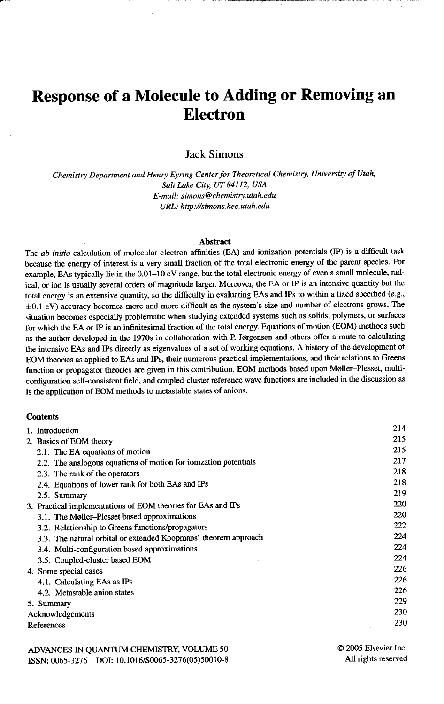# Response of a Molecule to Adding or Removing an Electron

# Jack Simons

Chemistry Departrnent and Henry Eyring CenterforTheoretical Chemistry, University of Utah, Salt Lake City, UT 84112, USA E-mail : simons @ chemistry.utah.edu URL: http://simons.hec.utah.edu

#### Abstract

The ab initio calculation of molecular electron affinities (EA) and ionization potentials (IP) is a difficult task because the energy of interest is a very small fraction of the total electronic energy of the parent species. For example, EAs typically lie in the 0.01-10 eV range, but the total electronic energy of even a srnall molecule, radical, or ion is usually several orders of magnitude larger. Moreover, the EA or IP is an intensive quantity but the total energy is an extensive quantity, so the difficulty in evaluating EAs and IPs to within a fixed specified (e.g.,  $\pm 0.1$  eV) accuracy becomes more and more difficult as the system's size and number of electrons grows. The situation becomes especially problematic when studying extended systems such as solids, polymers, or surfaces for which the EA or IP is an infinitesimal fraction of the total energy. Equations of motion (EOM) methods such as the author developed in the 1970s in collaboration with P. Jørgensen and others offer a route to calculating the intensive EAs and IPs directly as eigenvalues of a set of working equations. A history of the development of EOM theories as applied to EAs and IPs, their numerous practical implementations, and their relations to Greens function or propagator theories are given in this contribution. EOM methods based upon Møller-Plesset, multiconfiguration self-consistent field, and coupled-cluster reference wave functions are included in the discussion as is the application of EOM methods to metastable states of anions.

#### **Contents**

| 214 |
|-----|
| 215 |
| 215 |
| 217 |
| 218 |
| 218 |
| 219 |
| 220 |
| 220 |
| 222 |
| 224 |
| 224 |
| 224 |
| 226 |
| 226 |
| 226 |
| 229 |
| 230 |
| 230 |
|     |

ADVANCES IN OUANTUM CHEMISTRY, VOLUME 50 ISSN: 0065-3276 DOI: 10. 1016/50065-3276(05)50010-8 @ 2005 Elsevier Inc. All rights reserved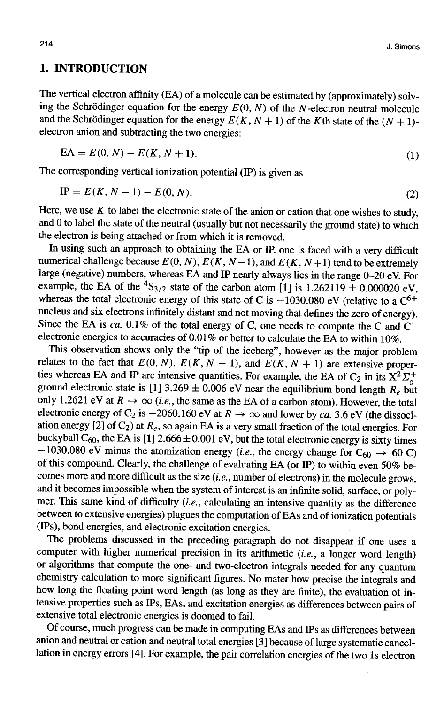#### 1. INTRODUCTION

The vertical electron affinity (EA) of a molecule can be estimated by (approximately) solving the Schrödinger equation for the energy  $E(0, N)$  of the N-electron neutral molecule and the Schrödinger equation for the energy  $E(K, N + 1)$  of the Kth state of the  $(N + 1)$ electron anion and subtracting the two energies:

$$
EA = E(0, N) - E(K, N + 1).
$$
 (1)

The corresponding vertical ionization potential (Ip) is given as

$$
IP = E(K, N - 1) - E(0, N). \tag{2}
$$

Here, we use  $K$  to label the electronic state of the anion or cation that one wishes to study, and  $0$  to label the state of the neutral (usually but not necessarily the ground state) to which the electron is being attached or from which it is removed.

In using such an approach to obtaining the EA or IP, one is faced with a very difficult numerical challenge because  $E(0, N)$ ,  $E(K, N-1)$ , and  $E(K, N+1)$  tend to be extremely large (negative) numbers, whereas EA and IP nearly always lies in the range 0-20 ev. For example, the EA of the  ${}^{4}S_{3/2}$  state of the carbon atom [1] is 1.262119  $\pm$  0.000020 eV, whereas the total electronic energy of this state of C is  $-1030.080$  eV (relative to a C<sup>6+</sup> nucleus and six electrons infinitely distant and not moving that defines the zero of energy). Since the EA is ca. 0.1% of the total energy of C, one needs to compute the C and  $C^$ electronic energies to accuracies of  $0.01\%$  or better to calculate the EA to within 10%.

This observation shows only the "tip of the iceberg", however as the major problem relates to the fact that  $E(0, N)$ ,  $E(K, N - 1)$ , and  $E(K, N + 1)$  are extensive properties whereas EA and IP are intensive quantities. For example, the EA of C<sub>2</sub> in its  $X^2\Sigma^+_s$ ground electronic state is [1] 3.269  $\pm$  0.006 eV near the equilibrium bond length  $R_e$  but only 1.2621 eV at  $R \to \infty$  (i.e., the same as the EA of a carbon atom). However, the total electronic energy of C<sub>2</sub> is -2060.160 eV at  $R \to \infty$  and lower by ca. 3.6 eV (the dissociation energy [2] of  $C_2$ ) at  $R_e$ , so again EA is a very small fraction of the total energies. For buckyball C<sub>60</sub>, the EA is [1] 2.666 $\pm$ 0.001 eV, but the total electronic energy is sixty times  $-1030.080$  eV minus the atomization energy (*i.e.*, the energy change for C<sub>60</sub>  $\rightarrow$  60 C) of this compound. Clearly, the challenge of evaluating EA (or IP) to within even 50% becomes more and more difficult as the size  $(i.e.,$  number of electrons) in the molecule grows, and it becomes impossible when the system of interest is an infinite solid, surface, or polymer. This same kind of difficulty *(i.e.*, calculating an intensive quantity as the difference between to extensive energies) plagues the computation of EAs and of ionization potentials (IPs), bond energies, and electronic excitation energies.

The problems discussed in the preceding paragraph do not disappear if one uses a computer with higher numerical precision in its arithmetic  $(i.e., a longer word length)$ or algorithms that compute the one- and two-electron integrals needed for any quantum chemistry calculation to more significant figures. No mater how precise the integrals and how long the floating point word length (as long as they are finite), the evaluation of intensive properties such as IPs, EAs, and excitation energies as differences between pairs of extensive total electronic energies is doomed to fail.

Of course, much progress can be made in computing EAs and IPs as differences between anion and neutral or cation and neutral total energies [3] because of large systematic cancellation in energy errors [4]. For example, the pair correlation energies of the two 1s electron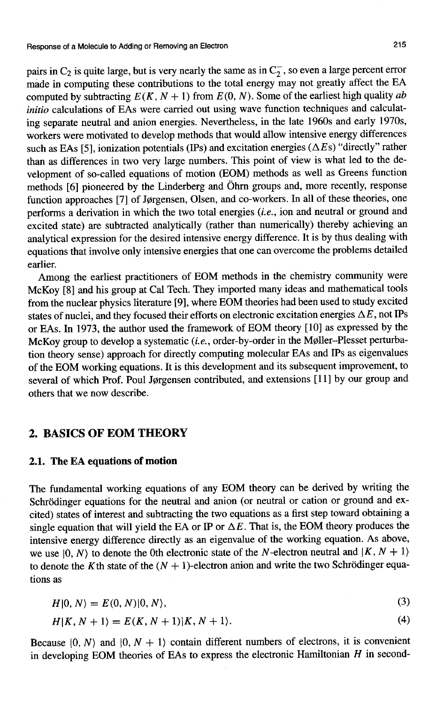pairs in  $C_2$  is quite large, but is very nearly the same as in  $C_2^-$ , so even a large percent error made in computing these contributions to the total energy may not greatly affect the EA computed by subtracting  $E(K, N + 1)$  from  $E(0, N)$ . Some of the earliest high quality ab initio calculations of EAs were carried out using wave function techniques and calculating separate neutral and anion energies. Nevertheless, in the late 1960s and early 1970s, workers were motivated to develop methods that would allow intensive energy differences such as EAs [5], ionization potentials (IPs) and excitation energies ( $\Delta E$ s) "directly" rather than as differences in two very large numbers. This point of view is what led to the development of so-called equations of motion (EOM) methods as well as Greens function methods [6] pioneered by the Linderberg and Ohrn groups and, more recently, response function approaches [7] of Jørgensen, Olsen, and co-workers. In all of these theories, one performs a derivation in which the two total energies (i.e., ion and neutral or ground and excited state) are subtracted analytically (rather than numerically) thereby achieving an analytical expression for the desired intensive energy difference. It is by thus dealing with equations that involve only intensive energies that one can overcome the problems detailed earlier.

Among the earliest practitioners of EOM methods in the chemistry community were McKoy t8l and his group at Cal Tech. They imported many ideas and mathematical tools from the nuclear physics literature [9], where EOM theories had been used to study excited states of nuclei, and they focused their efforts on electronic excitation energies  $\Delta E$ , not IPs or EAs. In 1973, the author used the framework of EOM theory [10] as expressed by the McKoy group to develop a systematic (i.e., order-by-order in the Møller-Plesset perturbation theory sense) approach for directly computing molecular EAs and IPs as eigenvalues of the EOM working equations. It is this development and its subsequent improvement, to several of which Prof. Poul Jørgensen contributed, and extensions [11] by our group and others that we now describe.

### 2. BASICS OF EOM THEORY

# 2.1. The EA equations of motion

The fundamental working equations of any EOM theory can be derived by writing the Schrödinger equations for the neutral and anion (or neutral or cation or ground and excited) states of interest and subtracting the two equations as a first step toward obtaining a single equation that will yield the EA or IP or  $\Delta E$ . That is, the EOM theory produces the intensive energy difference directly as an eigenvalue of the working equation. As above, we use  $|0, N\rangle$  to denote the 0th electronic state of the N-electron neutral and  $|K, N + 1\rangle$ to denote the K<sup>th</sup> state of the  $(N + 1)$ -electron anion and write the two Schrödinger equations as

$$
H|0, N\rangle = E(0, N)|0, N\rangle, \tag{3}
$$

$$
H|K, N+1\rangle = E(K, N+1)|K, N+1\rangle.
$$
 (4)

Because  $|0, N\rangle$  and  $|0, N + 1\rangle$  contain different numbers of electrons, it is convenient in developing EOM theories of EAs to express the electronic Hamiltonian  $H$  in second-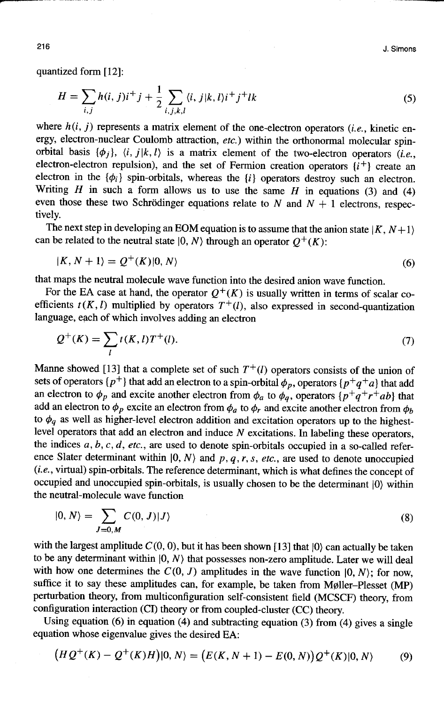J. Simons

quantized form [12]:

$$
H = \sum_{i,j} h(i,j)i^{+}j + \frac{1}{2} \sum_{i,j,k,l} \langle i,j|k,l \rangle i^{+}j^{+}lk \tag{5}
$$

where  $h(i, j)$  represents a matrix element of the one-electron operators (*i.e.*, kinetic energy, electron-nuclear Coulomb attraction, etc.) within the orthonormal molecular spinorbital basis  $\{\phi_i\}$ ,  $\langle i, j | k, l \rangle$  is a matrix element of the two-electron operators (*i.e.*, electron-electron repulsion), and the set of Fermion creation operators  $\{i^+\}$  create an electron in the  $\{\phi_i\}$  spin-orbitals, whereas the  $\{i\}$  operators destroy such an electron. Writing  $H$  in such a form allows us to use the same  $H$  in equations (3) and (4) even those these two Schrödinger equations relate to  $N$  and  $N + 1$  electrons, respectively.

The next step in developing an EOM equation is to assume that the anion state  $|K, N+1\rangle$ can be related to the neutral state  $|0, N\rangle$  through an operator  $O^+(K)$ :

$$
|K, N+1\rangle = Q^+(K)|0, N\rangle
$$
\n<sup>(6)</sup>

that maps the neutral molecule wave function into the desired anion wave function.

For the EA case at hand, the operator  $Q^+(K)$  is usually written in terms of scalar coefficients  $t(K, l)$  multiplied by operators  $T^+(l)$ , also expressed in second-quantization language, each of which involves adding an electron

$$
Q^{+}(K) = \sum_{l} t(K, l)T^{+}(l). \tag{7}
$$

Manne showed [13] that a complete set of such  $T^+(l)$  operators consists of the union of sets of operators {p+} that add an electron to a spin-orbital  $\phi_p$ , operators {p+q+a} that add an electron to  $\phi_p$  and excite another electron from  $\phi_a$  to  $\phi_q$ , operators  $\{p^+q^+r^+ab\}$  that add an electron to  $\phi_p$  excite an electron from  $\phi_a$  to  $\phi_r$  and excite another electron from  $\phi_b$ to  $\phi_a$  as well as higher-level electron addition and excitation operators up to the highestlevel operators that add an electron and induce  $N$  excitations. In labeling these operators, the indices  $a, b, c, d, etc.$ , are used to denote spin-orbitals occupied in a so-called reference Slater determinant within  $|0, N\rangle$  and p, q, r, s, etc., are used to denote unoccupied (i.e., virtual) spin-orbitals. The reference determinant, which is what defines the concept of occupied and unoccupied spin-orbitals, is usually chosen to be the determinant l0) within the neutral-molecule wave function

$$
|0, N\rangle = \sum_{J=0,M} C(0,J)|J\rangle
$$
 (8)

with the largest amplitude  $C(0, 0)$ , but it has been shown [13] that  $|0\rangle$  can actually be taken to be any determinant within  $|0, N\rangle$  that possesses non-zero amplitude. Later we will deal with how one determines the  $C(0, J)$  amplitudes in the wave function  $(0, N)$ ; for now, suffice it to say these amplitudes can, for example, be taken from Moller-plesset (Mp) perturbation theory, from multiconfiguration self-consistent field (MCSCF) theory, from configuration interaction (CI) theory or from coupled-cluster (CC) theory.

Using equation  $(6)$  in equation  $(4)$  and subtracting equation  $(3)$  from  $(4)$  gives a single equation whose eigenvalue gives the desired EA:

$$
(H Q^{+}(K) - Q^{+}(K)H)|0, N\rangle = (E(K, N + 1) - E(0, N))Q^{+}(K)|0, N\rangle
$$
 (9)

216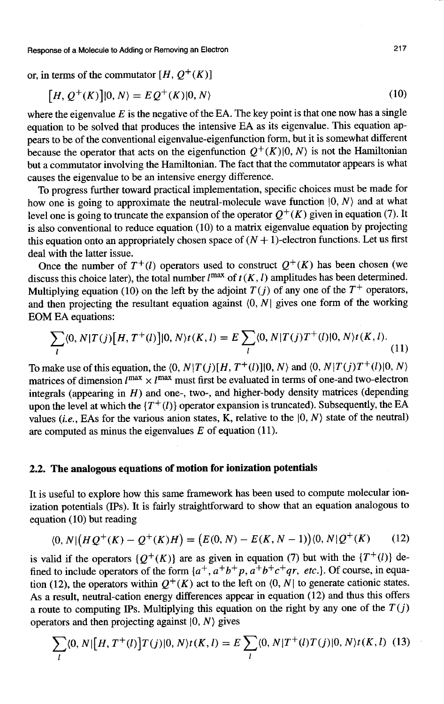Response of a Molecule to Adding or Removing an Electron

or, in terms of the commutator  $[H, Q^+(K)]$ 

$$
[H, Q^{+}(K)]|0, N\rangle = EQ^{+}(K)|0, N\rangle
$$
\n(10)

where the eigenvalue  $E$  is the negative of the EA. The key point is that one now has a single equation to be solved that produces the intensive EA as its eigenvalue. This equation appears to be of the conventional eigenvalue-eigenfunction form, but it is somewhat different because the operator that acts on the eigenfunction  $Q^+(K)|0, N\rangle$  is not the Hamiltonian but a commutator involving the Hamiltonian. The fact that the commutator appears is what causes the eigenvalue to be an intensive energy difference.

To progress further toward practical implementation, specific choices must be made for how one is going to approximate the neutral-molecule wave function  $|0, N\rangle$  and at what level one is going to truncate the expansion of the operator  $Q^+(K)$  given in equation (7). It is also conventional to reduce equation (10) to a matrix eigenvalue equation by projecting this equation onto an appropriately chosen space of  $(N + 1)$ -electron functions. Let us first deal with the latter issue.

Once the number of  $T^+(l)$  operators used to construct  $Q^+(K)$  has been chosen (we discuss this choice later), the total number  $l^{\max}$  of  $t(K, l)$  amplitudes has been determined. Multiplying equation (10) on the left by the adjoint  $T(j)$  of any one of the  $T^+$  operators, and then projecting the resultant equation against  $(0, N)$  gives one form of the working EOM EA equations:

$$
\sum_{l} \langle 0, N | T(j) [H, T^+(l)] | 0, N \rangle t(K, l) = E \sum_{l} \langle 0, N | T(j) T^+(l) | 0, N \rangle t(K, l).
$$
\n(11)

To make use of this equation, the  $(0, N|T(j)[H, T^+(l)]|0, N)$  and  $(0, N|T(j)T^+(l)|0, N)$ matrices of dimension  $l^{max} \times l^{max}$  must first be evaluated in terms of one-and two-electron integrals (appearing in  $H$ ) and one-, two-, and higher-body density matrices (depending upon the level at which the  $\{T^+(l)\}$  operator expansion is truncated). Subsequently, the EA values (*i.e.*, EAs for the various anion states, K, relative to the  $|0, N\rangle$  state of the neutral) are computed as minus the eigenvalues  $E$  of equation (11).

#### 2.2. The analogous equations of motion for ionization potentials

It is useful to explore how this same framework has been used to compute molecular ionization potentials (IPs). It is fairly straightforward to show that an equation analogous to equation (10) but reading

$$
\langle 0, N | \left( H \mathcal{Q}^+(K) - \mathcal{Q}^+(K) H \right) = \left( E(0, N) - E(K, N-1) \right) \langle 0, N | \mathcal{Q}^+(K) \tag{12}
$$

is valid if the operators  $\{Q^+(K)\}\$ are as given in equation (7) but with the  $\{T^+(l)\}\$ defined to include operators of the form  $\{a^+, a^+b^+p, a^+b^+c^+q, etc.\}$ . Of course, in equation (12), the operators within  $Q^+(K)$  act to the left on  $(0, N)$  to generate cationic states. As a result, neutral-cation energy differences appear in equation (12) and thus this offers a route to computing IPs. Multiplying this equation on the right by any one of the  $T(j)$ operators and then projecting against  $|0, N\rangle$  gives

$$
\sum_{l} \langle 0, N | [H, T^+(l)] T(j) | 0, N \rangle t(K, l) = E \sum_{l} \langle 0, N | T^+(l) T(j) | 0, N \rangle t(K, l) \tag{13}
$$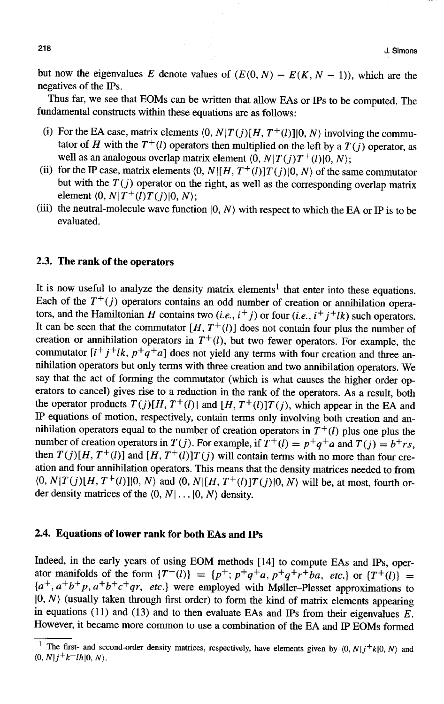but now the eigenvalues E denote values of  $(E(0, N) - E(K, N - 1))$ , which are the negatives of the IPs.

Thus far, we see that EOMs can be written that allow EAs or IPs to be computed. The fundamental constructs within these equations are as follows:

- (i) For the EA case, matrix elements  $(0, N|T(j)[H, T^+(l)]|0, N)$  involving the commutator of H with the  $T^+(l)$  operators then multiplied on the left by a  $T(j)$  operator, as well as an analogous overlap matrix element  $\langle 0, N|T(j)T^+(l)|0, N \rangle$ ;
- (ii) for the IP case, matrix elements  $(0, N|[H, T^+(l)]T(j)|0, N)$  of the same commutator but with the  $T(j)$  operator on the right, as well as the corresponding overlap matrix element  $\langle 0, N|T^+(l)T(i)|0, N \rangle$ ;
- (iii) the neutral-molecule wave function  $|0, N\rangle$  with respect to which the EA or IP is to be evaluated.

### 2.3. The rank of the operators

It is now useful to analyze the density matrix elements<sup>1</sup> that enter into these equations. Each of the  $T^+(j)$  operators contains an odd number of creation or annihilation operators, and the Hamiltonian H contains two (i.e.,  $i^+j$ ) or four (i.e.,  $i^+j^+l^$ ) such operators. It can be seen that the commutator  $[H, T^+(l)]$  does not contain four plus the number of creation or annihilation operators in  $T^+(l)$ , but two fewer operators. For example, the commutator  $[i+j+k, p+q+a]$  does not yield any terms with four creation and three annihilation operators but only terms with three creation and two annihilation operators. We say that the act of forming the commutator (which is what causes the higher order operators to cancel) gives rise to a reduction in the rank of the operators. As a result, both the operator products  $T(j)[H, T^+(l)]$  and  $[H, T^+(l)]T(j)$ , which appear in the EA and IP equations of motion, respectively, contain terms only involving both creation and annihilation operators equal to the number of creation operators in  $T^+ (l)$  plus one plus the number of creation operators in  $T(j)$ . For example, if  $T^+(l) = p^+q^+a$  and  $T(j) = b^+rs$ , then  $T(j)[H, T^+(l)]$  and  $[H, T^+(l)]T(j)$  will contain terms with no more than four creation and four annihilation operators. This means that the density matrices needed to from  $(0, N|T(j)[H, T^+(l)]|0, N)$  and  $(0, N|[H, T^+(l)]T(j)|0, N)$  will be, at most, fourth order density matrices of the  $(0, N | \dots | 0, N)$  density.

# 2.4. Equations of lower rank for both EAs and IPs

Indeed, in the early years of using EoM methods [14] to compute EAs and Ips, operator manifolds of the form  $\{T^+(l)\} = \{p^+; p^+q^+a, p^+q^+r^+ba, etc.\}$  or  $\{T^+(l)\} =$  $\{a^+, a^+b^+p, a^+b^+c^+q, etc.\}$  were employed with Møller-Plesset approximations to  $|0, N\rangle$  (usually taken through first order) to form the kind of matrix elements appearing in equations (11) and (13) and to then evaluate EAs and IPs from their eigenvalues  $E$ . However, it became more common to use a combination of the EA and Ip EoMs formed

<sup>&</sup>lt;sup>1</sup> The first- and second-order density matrices, respectively, have elements given by  $\langle 0, N|j+k|0, N \rangle$  and  $(0, N|j^+k^+lh|0, N).$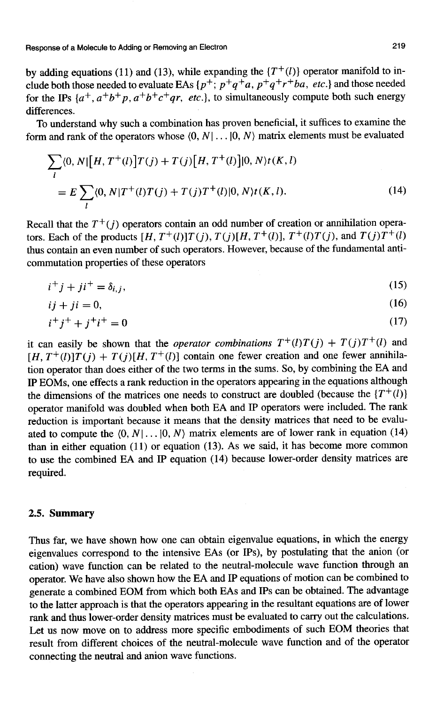Response of a Molecule to Adding or Removing an Electron 2008 2009

by adding equations (11) and (13), while expanding the  $\{T^+(l)\}$  operator manifold to include both those needed to evaluate EAs  ${p^+; p^+q^+a, p^+q^+r^+ba, etc.}$  and those needed for the IPs  $\{a^+, a^+b^+p, a^+b^+c^+qr, etc.\}$ , to simultaneously compute both such energy differences.

To understand why such a combination has proven beneficial, it suffices to examine the form and rank of the operators whose  $(0, N | ... | 0, N)$  matrix elements must be evaluated

$$
\sum_{l} \langle 0, N | [H, T^{+}(l)] T(j) + T(j) [H, T^{+}(l)] | 0, N \rangle t(K, l)
$$
  
=  $E \sum_{l} \langle 0, N | T^{+}(l) T(j) + T(j) T^{+}(l) | 0, N \rangle t(K, l).$  (14)

Recall that the  $T^+(i)$  operators contain an odd number of creation or annihilation operators. Each of the products  $[H, T^+(l)]T(i)$ ,  $T(i)[H, T^+(l)]$ ,  $T^+(l)T(j)$ , and  $T(j)T^+(l)$ thus contain an even number of such operators. However, because of the fundamental anticommutation properties of these operators

$$
i^+j + ji^+ = \delta_{i,j},\tag{15}
$$

$$
ij + ji = 0,\t(16)
$$

$$
i^+j^+ + j^+i^+ = 0 \tag{17}
$$

it can easily be shown that the *operator combinations*  $T^+(l)T(j) + T(j)T^+(l)$  and  $[H, T^+(l)]T(j) + T(j)[H, T^+(l)]$  contain one fewer creation and one fewer annihilation operator than does either of the two terms in the sums. So, by combining the EA and IP EOMs, one effects a rank reduction in the operators appearing in the equations although the dimensions of the matrices one needs to construct are doubled (because the  $\{T^+(l)\}$ ) operator manifold was doubled when both EA and IP operators were included. The rank reduction is important because it means that the density matrices that need to be evaluated to compute the  $(0, N | \dots | 0, N)$  matrix elements are of lower rank in equation (14) than in either equation (11) or equation (13). As we said, it has become more common to use the combined EA and IP equation (14) because lower-order density matrices are required.

#### 2.5. Summary

Thus far, we have shown how one can obtain eigenvalue equations, in which the energy eigenvalues correspond to the intensive EAs (or IPs), by postulating that the anion (or cation) wave function can be related to the neutral-molecule wave function through an operator. We have also shown how the EA and IP equations of motion can be combined to generate a combined EOM from which both EAs and IPs can be obtained. The advantage to the latter approach is that the operators appearing in the resultant equations are of lower rank and thus lower-order density matrices must be evaluated to carry out the calculations. Let us now move on to address more specific embodiments of such EOM theories that result from different choices of the neutral-molecule wave function and of the operator connecting the neutral and anion wave functions.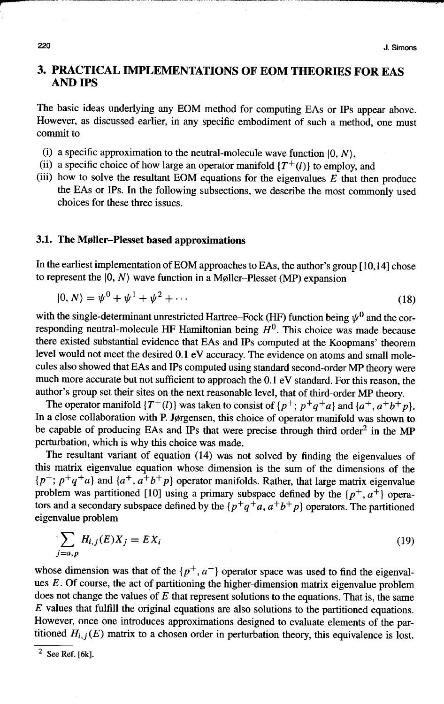# 3. PRACTICAL IMPLEMENTATIONS OF EOM THEORIES FOR EAS AND IPS

The basic ideas underlying any EoM method for computing EAs or Ips appear above. However, as discussed earlier, in any specific embodiment of such a method, one must commit to

- (i) a specific approximation to the neutral-molecule wave function  $(0, N)$ ,
- (ii) a specific choice of how large an operator manifold  $\{T^+(l)\}\$ to employ, and
- (iii) how to solve the resultant EOM equations for the eigenvalues  $E$  that then produce the EAs or IPs. In the following subsections, we describe the most commonly used choices for these three issues.

#### 3.1. The Møller-Plesset based approximations

In the earliest implementation of EoM approaches to EAs, the author's group [10,14] chose to represent the  $|0, N\rangle$  wave function in a Møller-Plesset (MP) expansion

$$
|0, N\rangle = \psi^0 + \psi^1 + \psi^2 + \cdots
$$
 (18)

with the single-determinant unrestricted Hartree-Fock (HF) function being  $\psi^0$  and the corresponding neutral-molecule HF Hamiltonian being  $H^0$ . This choice was made because there existed substantial evidence that EAs and IPs computed at the Koopmans' theorem level would not meet the desired 0.1 eV accuracy. The evidence on atoms and small molecules also showed that EAs and IPs computed using standard second-order MP theory were much more accurate but not sufficient to approach the 0.1 eV standard. For this reason, the author's group set their sites on the next reasonable level, that of third-order MP theory.

The operator manifold  $\{T^+(l)\}\$  was taken to consist of  $\{p^+; p^+q^+a\}$  and  $\{a^+, a^+b^+p\}$ . In a close collaboration with P. Jørgensen, this choice of operator manifold was shown to be capable of producing EAs and IPs that were precise through third order<sup>2</sup> in the MP perturbation, which is why this choice was made.

The resultant variant of equation (14) was not solved by finding the eigenvalues of this matrix eigenvalue equation whose dimension is the sum of the dimensions of the  $\{p^+; p^+q^+a\}$  and  $\{a^+, a^+b^+p\}$  operator manifolds. Rather, that large matrix eigenvalue problem was partitioned [10] using a primary subspace defined by the  $\{p^+, a^+\}$  operators and a secondary subspace defined by the  $\{p+q+a, a+b+p\}$  operators. The partitioned eigenvalue problem

$$
\sum_{j=a,p} H_{i,j}(E)X_j = EX_i
$$
\n(19)

whose dimension was that of the  $\{p^+, a^+\}$  operator space was used to find the eigenvalues E. Of course, the act of partitioning the higher-dimension matrix eigenvalue problem does not change the values of  $E$  that represent solutions to the equations. That is, the same  $E$  values that fulfill the original equations are also solutions to the partitioned equations. However, once one introduces approximations designed to evaluate elements of the partitioned  $H_{i,j}(E)$  matrix to a chosen order in perturbation theory, this equivalence is lost. -;--

 $^2$  See Ref. [6k].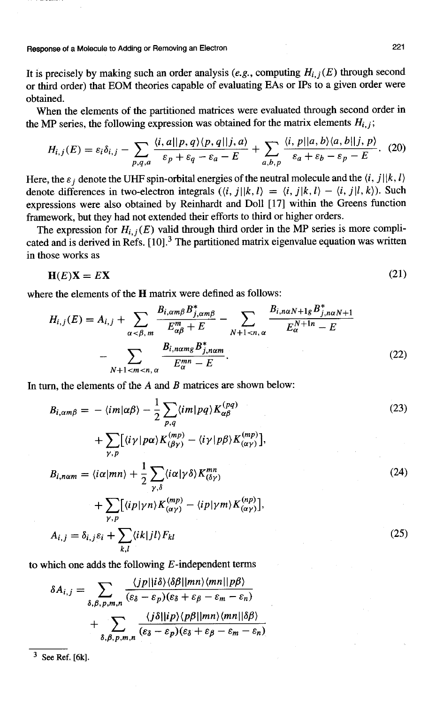#### Response of a Molecule to Adding or Removing an Electron 221 and 221

It is precisely by making such an order analysis (e.g., computing  $H_{i,j}(E)$  through second or third order) that EOM theories capable of evaluating EAs or IPs to a given order were obtained.

When the elements of the partitioned matrices were evaluated through second order in the MP series, the following expression was obtained for the matrix elements  $H_{i,j}$ ;

$$
H_{i,j}(E) = \varepsilon_i \delta_{i,j} - \sum_{p,q,a} \frac{\langle i, a||p,q\rangle \langle p,q||j,a\rangle}{\varepsilon_p + \varepsilon_q - \varepsilon_a - E} + \sum_{a,b,p} \frac{\langle i, p||a,b\rangle \langle a,b||j,p\rangle}{\varepsilon_a + \varepsilon_b - \varepsilon_p - E}.
$$
 (20)

Here, the  $\varepsilon_j$  denote the UHF spin-orbital energies of the neutral molecule and the  $\langle i, j | k, l \rangle$ denote differences in two-electron integrals  $((i, j||k, l) = (i, j|k, l) - (i, j|l, k))$ . Such expressions were also obtained by Reinhardt and Doll [17] within the Greens function framework, but they had not extended their efforts to third or higher orders.

The expression for  $H_{i,j}(E)$  valid through third order in the MP series is more complicated and is derived in Refs.  $[10]$ .<sup>3</sup> The partitioned matrix eigenvalue equation was written in those works as

$$
H(E)X = EX
$$
 (21)

where the elements of the H matrix were defined as follows:

$$
H_{i,j}(E) = A_{i,j} + \sum_{\alpha < \beta, m} \frac{B_{i,\alpha m \beta} B_{j,\alpha m \beta}^*}{E_{\alpha \beta}^m + E} - \sum_{N+1 < n, \alpha} \frac{B_{i,n\alpha N+1g} B_{j,n\alpha N+1}^*}{E_{\alpha}^{N+1n} - E} - \sum_{N+1 < m < n, \alpha} \frac{B_{i,n\alpha m g} B_{j,n\alpha m}^*}{E_{\alpha}^{m n} - E}.
$$
\n(22)

In turn, the elements of the  $A$  and  $B$  matrices are shown below:

$$
B_{i,\alpha m\beta} = -\langle im|\alpha\beta\rangle - \frac{1}{2} \sum_{p,q} \langle im|pq\rangle K_{\alpha\beta}^{(pq)} + \sum \left[ \langle i\gamma|p\alpha\rangle K_{(\beta\gamma)}^{(mp)} - \langle i\gamma|p\beta\rangle K_{(\alpha\gamma)}^{(mp)} \right],
$$
\n(23)

$$
B_{i,n\alpha m} = \langle i\alpha|mn\rangle + \frac{1}{2} \sum_{\gamma,\delta} \langle i\alpha|\gamma\delta\rangle K_{(\delta\gamma)}^{mn}
$$
  
+ 
$$
\sum_{\gamma,p} [\langle ip|\gamma n\rangle K_{(\alpha\gamma)}^{(mp)} - \langle ip|\gamma m\rangle K_{(\alpha\gamma)}^{(np)}],
$$
  

$$
A_{i,j} = \delta_{i,j}\varepsilon_i + \sum_{k,l} \langle ik|jl\rangle F_{kl}
$$
 (25)

to which one adds the following  $E$ -independent terms

$$
\delta A_{i,j} = \sum_{\delta,\beta,p,m,n} \frac{\langle jp||i\delta\rangle \langle \delta\beta||mn\rangle \langle mn||p\beta\rangle}{(\varepsilon_{\delta} - \varepsilon_{p})(\varepsilon_{\delta} + \varepsilon_{\beta} - \varepsilon_{m} - \varepsilon_{n})} + \sum_{\delta,\beta,p,m,n} \frac{\langle j\delta||ip\rangle \langle p\beta||mn\rangle \langle mn||\delta\beta\rangle}{(\varepsilon_{\delta} - \varepsilon_{p})(\varepsilon_{\delta} + \varepsilon_{\beta} - \varepsilon_{m} - \varepsilon_{n})}
$$

 $3$  See Ref. [6k].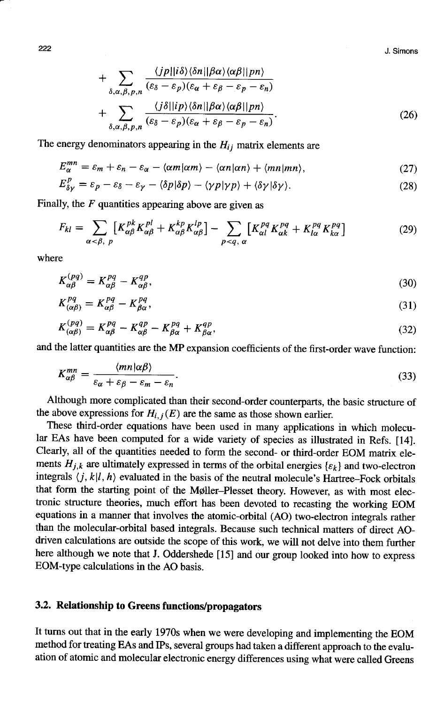$$
+\sum_{\delta,\alpha,\beta,p,n} \frac{\langle jp||i\delta\rangle\langle\delta n||\beta\alpha\rangle\langle\alpha\beta||pn\rangle}{(\varepsilon_{\delta}-\varepsilon_{p})(\varepsilon_{\alpha}+\varepsilon_{\beta}-\varepsilon_{p}-\varepsilon_{n})}\n+ \sum_{\delta,\alpha,\beta,p,n} \frac{\langle j\delta||ip\rangle\langle\delta n||\beta\alpha\rangle\langle\alpha\beta||pn\rangle}{(\varepsilon_{\delta}-\varepsilon_{p})(\varepsilon_{\alpha}+\varepsilon_{\beta}-\varepsilon_{p}-\varepsilon_{n})}.
$$
\n(26)

The energy denominators appearing in the  $H_{ij}$  matrix elements are

$$
E_{\alpha}^{mn} = \varepsilon_m + \varepsilon_n - \varepsilon_{\alpha} - \langle \alpha m | \alpha m \rangle - \langle \alpha n | \alpha n \rangle + \langle m n | mn \rangle, \tag{27}
$$

$$
E_{\delta\gamma}^P = \varepsilon_p - \varepsilon_\delta - \varepsilon_\gamma - \langle \delta p | \delta p \rangle - \langle \gamma p | \gamma p \rangle + \langle \delta \gamma | \delta \gamma \rangle. \tag{28}
$$

Finally, the  $F$  quantities appearing above are given as

$$
F_{kl} = \sum_{\alpha < \beta, \ p} \left[ K_{\alpha\beta}^{pk} K_{\alpha\beta}^{pl} + K_{\alpha\beta}^{kp} K_{\alpha\beta}^{lp} \right] - \sum_{p < q, \ \alpha} \left[ K_{\alpha l}^{pq} K_{\alpha k}^{pq} + K_{l\alpha}^{pq} K_{k\alpha}^{pq} \right] \tag{29}
$$

where

$$
K_{\alpha\beta}^{(pq)} = K_{\alpha\beta}^{pq} - K_{\alpha\beta}^{qp},\tag{30}
$$

$$
K_{(\alpha\beta)}^{pq} = K_{\alpha\beta}^{pq} - K_{\beta\alpha}^{pq},
$$
\n(31)

$$
K^{(pq)}_{(\alpha\beta)} = K^{pq}_{\alpha\beta} - K^{qp}_{\alpha\beta} - K^{pq}_{\beta\alpha} + K^{qp}_{\beta\alpha},
$$
\n(32)

and the latter quantities are the MP expansion coefficients of the first-order wave function:

$$
K_{\alpha\beta}^{mn} = \frac{\langle mn|\alpha\beta\rangle}{\varepsilon_{\alpha} + \varepsilon_{\beta} - \varepsilon_{m} - \varepsilon_{n}}.\tag{33}
$$

Although more complicated than their second-order counterparts, the basic structure of the above expressions for  $H_{i,j}(E)$  are the same as those shown earlier.

These third-order equations have been used in many applications in which molecular EAs have been computed for a wide variety of species as illustrated in Refs. [14]. Clearly, all of the quantities needed to form the second- or third-order EOM matrix elements  $H_{j,k}$  are ultimately expressed in terms of the orbital energies  $\{\varepsilon_k\}$  and two-electron integrals  $\langle j, k | l, h \rangle$  evaluated in the basis of the neutral molecule's Hartree-Fock orbitals that form the starting point of the Møller-Plesset theory. However, as with most electronic structure theories, much effort has been devoted to recasting the working EoM equations in a manner that involves the atomic-orbital (AO) fwo-electron integrals rather than the molecular-orbital based integrals. Because such technical matters of direct AOdriven calculations are outside the scope of this work, we will not delve into them further here although we note that J. Oddershede [15] and our group looked into how to express EOM+ype calculations in the AO basis.

# 3.2. Relationship to Greens functions/propagators

It turns out that in the early 1970s when we were developing and implementing the EoM method for treating EAs and IPs, several groups had taken a different approach to the evaluation of atomic and molecular electronic energy differences using what were called Greens

222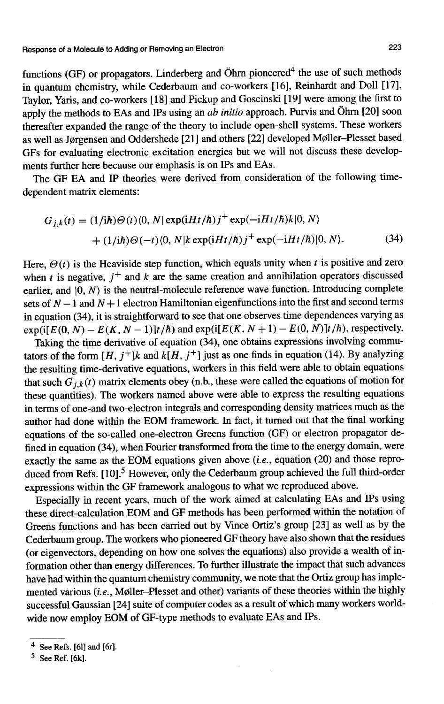functions (GF) or propagators. Linderberg and Öhrn pioneered<sup>4</sup> the use of such methods in quantum chemistry, while Cederbaum and co-workers [16], Reinhardt and Doll [17], Taylor, Yaris, and co-workers [18] and Pickup and Goscinski [19] were among the first to apply the methods to EAs and IPs using an *ab initio* approach. Purvis and Öhrn [20] soon thereafter expanded the range of the theory to include open-shell systems. These workers as well as Jørgensen and Oddershede [21] and others [22] developed Møller-Plesset based GFs for evaluating electronic excitation energies but we will not discuss these developments further here because our emphasis is on IPs and EAs.

The GF EA and IP theories were derived from consideration of the following timedependent matrix elements:

$$
G_{j,k}(t) = (1/i\hbar)\Theta(t)\langle 0, N|\exp(iHt/\hbar)j^{+}\exp(-iHt/\hbar)k|0, N\rangle
$$
  
+ 
$$
(1/i\hbar)\Theta(-t)\langle 0, N|\&\exp(iHt/\hbar)j^{+}\exp(-iHt/\hbar)|0, N\rangle.
$$
 (34)

Here,  $\Theta(t)$  is the Heaviside step function, which equals unity when t is positive and zero when t is negative,  $j^{+}$  and k are the same creation and annihilation operators discussed earlier, and  $|0, N\rangle$  is the neutral-molecule reference wave function. Introducing complete sets of  $N-1$  and  $N+1$  electron Hamiltonian eigenfunctions into the first and second terms in equation (34), it is straightforward to see that one observes time dependences varying as  $exp(i[E(0, N) - E(K, N - 1)]t/\hbar)$  and  $exp(i[E(K, N + 1) - E(0, N)]t/\hbar)$ , respectively.

Taking the time derivative of equation (34), one obtains expressions involving commutators of the form  $[H, i^+]k$  and  $k[H, i^+]$  just as one finds in equation (14). By analyzing the resulting time-derivative equations, workers in this field were able to obtain equations that such  $G_{j,k}(t)$  matrix elements obey (n.b., these were called the equations of motion for these quantities). The workers named above were able to express the resulting equations in terms of one-and two-electron integrals and corresponding density matrices much as the author had done within the EOM framework. In fact, it turned out that the final working equations of the so-called one-electron Greens function (GF) or electron propagator defined in equation (34), when Fourier transformed from the time to the energy domain, were exactly the same as the EOM equations given above  $(i.e., equation (20)$  and those reproduced from Refs.  $[10]$ .<sup>5</sup> However, only the Cederbaum group achieved the full third-order expressions within the GF framework analogous to what we reproduced above.

Especially in recent years, much of the work aimed at calculating EAs and IPs using these direct-calculation EOM and GF methods has been performed within the notation of Greens functions and has been carried out by Vince Ortiz's group [23] as well as by the Cederbaum group. The workers who pioneered GF theory have also shown that the residues (or eigenvectors, depending on how one solves the equations) also provide a wealth of information other than energy differences. To further illustrate the impact that such advances have had within the quantum chemistry community, we note that the Ortiz group has implemented various (i.e., Møller-Plesset and other) variants of these theories within the highly successful Gaussian [24] suite of computer codes as a result of which many workers worldwide now employ EOM of GF-type methods to evaluate EAs and IPs.

 $4$  See Refs. [6l] and [6r].

<sup>5</sup> See Ref. [6k].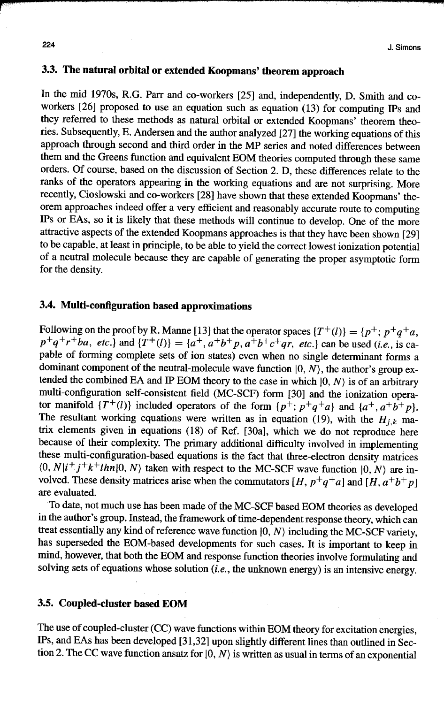# 3.3. The natural orbital or extended Koopmans' theorem approach

In the mid 1970s, R.G. Parr and co-workers [25] and, independently, D. Smith and coworkers [26] proposed to use an equation such as equation (13) for computing Ips and they referred to these methods as natural orbital or extended Koopmans' theorem theories. Subsequently, E. Andersen and the author analyzed [27] the working equations of this approach through second and third order in the MP series and noted differences between them and the Greens function and equivalent EOM theories computed through these same orders. Of course, based on the discussion of Section 2. D, these differences relate to the ranks of the operators appearing in the working equations and are not surprising. More recently, Cioslowski and co-workers [28] have shown that these extended Koopmans' theorem approaches indeed offer a very efficient and reasonably accurate route to computing IPs or EAs, so it is likely that these methods will continue to develop. One of the more attractive aspects of the extended Koopmans approaches is that they have been shown [29] to be capable, at least in principle, to be able to yield the correct lowest ionization potential of a neutral molecule because they are capable of generating the proper asymptotic form for the density.

# 3.4. Multi-configuration based approximations

Following on the proof by R. Manne [13] that the operator spaces  $\{T^+(l)\} = \{p^+; p^+q^+a,$  $p^+q^+r^+ba$ , etc.) and  $\{T^+(l)\} = \{a^+, a^+b^+p, a^+b^+c^+q^r,$  etc.) can be used (i.e., is capable of forming complete sets of ion states) even when no single determinant forms a dominant component of the neutral-molecule wave function  $|0, N\rangle$ , the author's group extended the combined EA and IP EOM theory to the case in which  $|0, N\rangle$  is of an arbitrary multi-configuration self-consistent field (MC-SCF) form [30] and the ionization operator manifold  $\{T^+(l)\}$  included operators of the form  $\{p^{\dagger}; p^+q^+a\}$  and  $\{a^+, a^+b^+p\}.$ The resultant working equations were written as in equation (19), with the  $H_{i,k}$  matrix elements given in equations (18) of Ref. [30a], which we do not reproduce here because of their complexity. The primary additional difficulty involved in implementing these multi-confguration-based equations is the fact that three-electron density matrices  $(0, N|i+j+k+1hn|0, N)$  taken with respect to the MC-SCF wave function  $(0, N)$  are involved. These density matrices arise when the commutators  $[H, p^+q^+a]$  and  $[H, a^+b^+p]$ are evaluated.

To date, not much use has been made of the MC-SCF based EOM theories as developed in the author's group. Instead, the framework of time-dependent response theory, which can treat essentially any kind of reference wave function  $|0, N\rangle$  including the MC-SCF variety, has superseded the EOM-based developments for such cases. It is important to keep in mind, however, that both the EOM and response function theories involve formulating and solving sets of equations whose solution  $(i.e.,$  the unknown energy) is an intensive energy.

#### 3.5. Coupled-cluster based EOM

The use of coupled-cluster (CC) wave functions within EOM theory for excitation energies, IPs, and EAs has been developed [31,32] upon slightly different lines than outlined in Section 2. The CC wave function ansatz for  $|0, N\rangle$  is written as usual in terms of an exponential